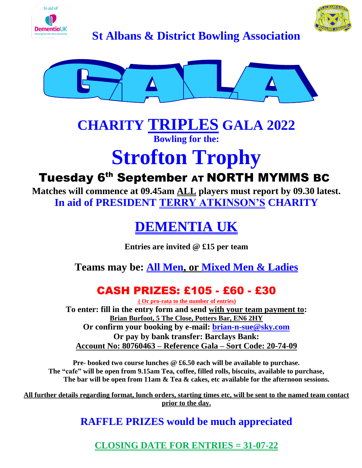



**DementialK**<br>**St Albans & District Bowling Association** 



## **CHARITY TRIPLES GALA 2022 Bowling for the:**

# **Strofton Trophy**

## Tuesday 6<sup>th</sup> September AT NORTH MYMMS BC

**Matches will commence at 09.45am ALL players must report by 09.30 latest. In aid of PRESIDENT TERRY ATKINSON'S CHARITY**

# **DEMENTIA UK**

**Entries are invited @ £15 per team**

**Teams may be: All Men, or Mixed Men & Ladies**

## CASH PRIZES: £105 - £60 - £30

**( Or pro-rata to the number of entries) To enter: fill in the entry form and send with your team payment to: Brian Burfoot, 5 The Close, Potters Bar, EN6 2HY Or confirm your booking by e-mail: [brian-n-sue@sky.com](mailto:brian-n-sue@sky.com) Or pay by bank transfer: Barclays Bank: Account No: 80760463 – Reference Gala – Sort Code: 20-74-09**

**Pre- booked two course lunches @ £6.50 each will be available to purchase. The "cafe" will be open from 9.15am Tea, coffee, filled rolls, biscuits, available to purchase, The bar will be open from 11am & Tea & cakes, etc available for the afternoon sessions.**

**All further details regarding format, lunch orders, starting times etc, will be sent to the named team contact prior to the day.**

#### **RAFFLE PRIZES would be much appreciated**

**CLOSING DATE FOR ENTRIES = 31-07-22**